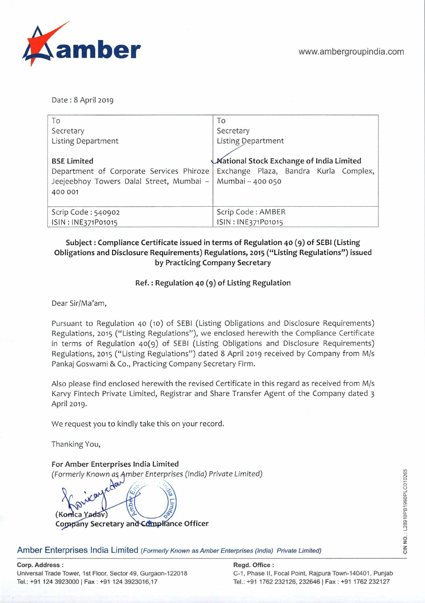

Date: 8 April 2019

| To                                                        | To                                       |
|-----------------------------------------------------------|------------------------------------------|
| Secretary                                                 | Secretary                                |
| Listing Department                                        | Listing Department                       |
|                                                           |                                          |
| <b>BSE Limited</b>                                        | Mational Stock Exchange of India Limited |
| Department of Corporate Services Phiroze                  | Exchange Plaza, Bandra Kurla Complex,    |
| Jeejeebhoy Towers Dalal Street, Mumbai - Mumbai - 400 050 |                                          |
| 400 001                                                   |                                          |
|                                                           |                                          |
| Scrip Code: 540902                                        | Scrip Code: AMBER                        |
| ISIN: INE371P01015                                        | ISIN: INE371P01015                       |

#### Subject: Compliance Certificate issued in terms of Regulation 40 (9) of SEBI (Listing **Obligations and Disclosure Requirements) Regulations, 2015 ("Listing Regulations") issued by Practicing Company Secretary**

#### **Ref.: Regulation 40 (9) of Listing Regulation**

Dear Sir/Ma'am,

Pursuant to Regulation 40 (io) of SEBI (Listing Obligations and Disclosure Requirements) Regulations, 2015 ("Listing Regulations"), we enclosed herewith the Compliance Certificate in terms of Regulation 40(9) of SEBI (Listing Obligations and Disclosure Requirements) Regulations, 2015 ("Listing Regulations") dated 8 April 2019 received by Company from M/s Pankaj Goswami & Co., Practicing Company Secretary Firm.

Also please find enclosed herewith the revised Certificate in this regard as received from M/s Karvy Fintech Private Limited, Registrar and Share Transfer Agent of the Company dated *3*  April 2019.

We request you to kindly take this on your record.

Thanking You,

**For Amber Enterprises India Limited**  *(Formerly Known as Amber Enterprises (India) Private Limited)* 

**(Konica Y.** • **.v)**  Company Secretary and Compliance Officer

Amber Enterprises India Limited (Formerly Known as Amber Enterprises (India) Private Limited)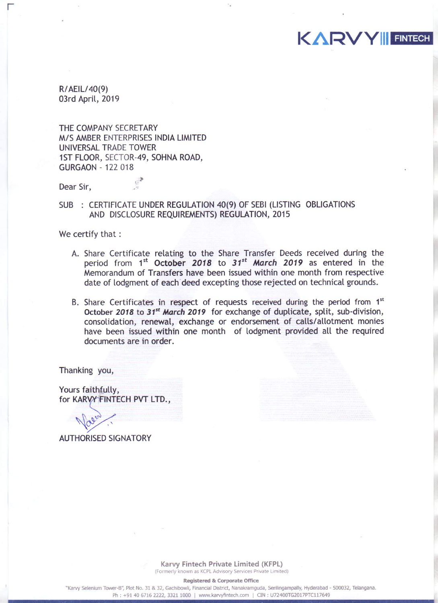R/AEIL/40(9) 03rd April, 2019

THE COMPANY SECRETARY M/S AMBER ENTERPRISES INDIA LIMITED UNIVERSAL TRADE TOWER 1ST FLOOR, SECTOR-49, SOHNA ROAD, **GURGAON - 122 018** 

洋

Dear Sir,

#### SUB : CERTIFICATE UNDER REGULATION 40(9) OF SEBI (LISTING OBLIGATIONS AND DISCLOSURE REQUIREMENTS) REGULATION, 2015

We certify that :

A. Share Certificate relating to the Share Transfer Deeds received during the period from  $1^{st}$  October 2018 to  $31^{st}$  March 2019 as entered in the Memorandum of Transfers have been issued within one month from respective date of lodgment of each deed excepting those rejected on technical grounds.

**KARVY FINTECH** 

B. Share Certificates in respect of requests received during the period from 1<sup>st</sup> October 2018 to 31<sup>st</sup> March 2019 for exchange of duplicate, split, sub-division, consolidation, renewal, exchange or endorsement of calls/allotment monies have been issued within one month of lodgment provided all the required documents are in order.

Thanking you,

Yours faithfully, for KARVY FINTECH PVT LTD.,

**AUTHORISED SIGNATORY** 

Karvy Fintech Private Limited (KFPL) (Formerly known as KCPL Advisory Services Private Limited)

**Registered & Corporate Office** 

"Karvy Selenium Tower-B", Plot No. 31 & 32, Gachibowli, Financial District, Nanakramguda, Serilingampally, Hyderabad - 500032, Telangana. Ph: +91 40 6716 2222, 3321 1000 | www.karvyfintech.com | CIN: U72400TG2017PTC117649